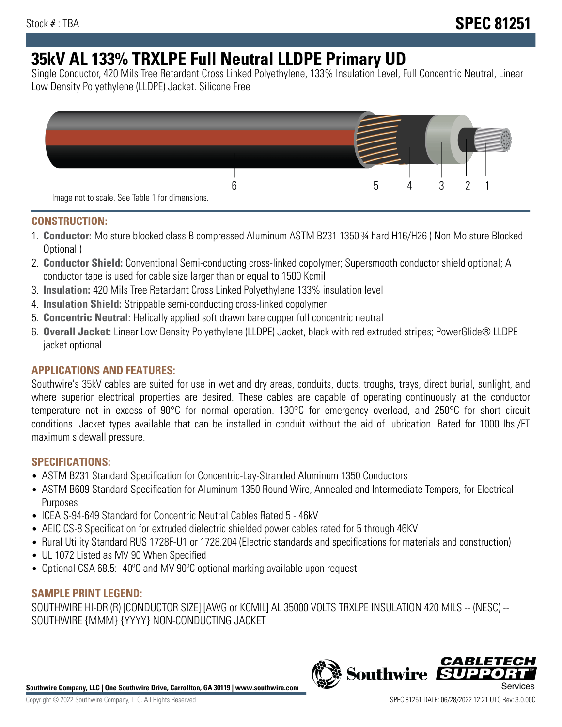# **35kV AL 133% TRXLPE Full Neutral LLDPE Primary UD**

Single Conductor, 420 Mils Tree Retardant Cross Linked Polyethylene, 133% Insulation Level, Full Concentric Neutral, Linear Low Density Polyethylene (LLDPE) Jacket. Silicone Free



### **CONSTRUCTION:**

- 1. **Conductor:** Moisture blocked class B compressed Aluminum ASTM B231 1350 ¾ hard H16/H26 ( Non Moisture Blocked Optional )
- 2. **Conductor Shield:** Conventional Semi-conducting cross-linked copolymer; Supersmooth conductor shield optional; A conductor tape is used for cable size larger than or equal to 1500 Kcmil
- 3. **Insulation:** 420 Mils Tree Retardant Cross Linked Polyethylene 133% insulation level
- 4. **Insulation Shield:** Strippable semi-conducting cross-linked copolymer
- 5. **Concentric Neutral:** Helically applied soft drawn bare copper full concentric neutral
- 6. **Overall Jacket:** Linear Low Density Polyethylene (LLDPE) Jacket, black with red extruded stripes; PowerGlide® LLDPE jacket optional

## **APPLICATIONS AND FEATURES:**

Southwire's 35kV cables are suited for use in wet and dry areas, conduits, ducts, troughs, trays, direct burial, sunlight, and where superior electrical properties are desired. These cables are capable of operating continuously at the conductor temperature not in excess of 90°C for normal operation. 130°C for emergency overload, and 250°C for short circuit conditions. Jacket types available that can be installed in conduit without the aid of lubrication. Rated for 1000 lbs./FT maximum sidewall pressure.

## **SPECIFICATIONS:**

- ASTM B231 Standard Specification for Concentric-Lay-Stranded Aluminum 1350 Conductors
- ASTM B609 Standard Specification for Aluminum 1350 Round Wire, Annealed and Intermediate Tempers, for Electrical Purposes
- ICEA S-94-649 Standard for Concentric Neutral Cables Rated 5 46kV
- AEIC CS-8 Specification for extruded dielectric shielded power cables rated for 5 through 46KV
- Rural Utility Standard RUS 1728F-U1 or 1728.204 (Electric standards and specifications for materials and construction)
- UL 1072 Listed as MV 90 When Specified
- Optional CSA 68.5: -40ºC and MV 90ºC optional marking available upon request

### **SAMPLE PRINT LEGEND:**

SOUTHWIRE HI-DRI(R) [CONDUCTOR SIZE] [AWG or KCMIL] AL 35000 VOLTS TRXLPE INSULATION 420 MILS -- (NESC) -- SOUTHWIRE {MMM} {YYYY} NON-CONDUCTING JACKET

**Southwire Company, LLC | One Southwire Drive, Carrollton, GA 30119 | www.southwire.com**